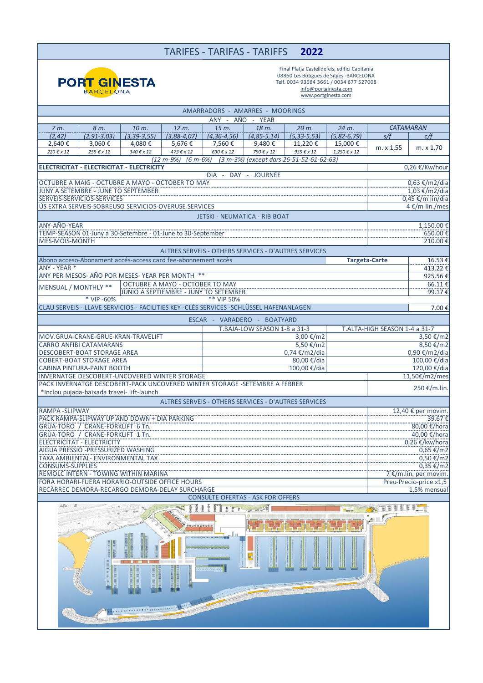## TARIFES - TARIFAS - TARIFFS **2022**



Final Platja Castelldefels, edifici Capitania 08860 Les Botigues de Sitges -BARCELONA Telf. 0034 93664 3661 / 0034 677 527008 info@portginesta.com www.portginesta.com

| AMARRADORS - AMARRES - MOORINGS                                                        |  |                                       |                                 |                                  |                                                      |                     |                                           |                                            |                        |  |  |
|----------------------------------------------------------------------------------------|--|---------------------------------------|---------------------------------|----------------------------------|------------------------------------------------------|---------------------|-------------------------------------------|--------------------------------------------|------------------------|--|--|
| ANY - AÑO - YEAR                                                                       |  |                                       |                                 |                                  |                                                      |                     |                                           |                                            |                        |  |  |
| $7m$ .<br>8 m.                                                                         |  | 10 m.                                 | 12 m.                           | 15 m.                            | 18 m.                                                | 20 m.               | 24 m.                                     | CATAMARAN                                  |                        |  |  |
| (2, 42)<br>$(2, 91 - 3, 03)$                                                           |  | $(3, 39 - 3, 55)$                     | $(3,88-4,07)$                   | $(4, 36 - 4, 56)$                | $(4, 85 - 5, 14)$                                    | $(5, 33 - 5, 53)$   | $(5, 82 - 6, 79)$                         | s/f                                        | c/f                    |  |  |
| 2,640€<br>3,060 €                                                                      |  | 4,080€                                | 5,676€                          | 7,560€                           | 9,480€                                               | 11,220€             | 15,000€                                   | m. x 1,55                                  | m. x 1,70              |  |  |
| 220 € x 12<br>255 € x 12                                                               |  | 340 € x 12                            | $473 \text{ } \in x 12$         | $630 \mathrel{\varepsilon} x 12$ | 790 € x 12                                           | 935 $\epsilon$ x 12 | $1,250 \text{ } \in x 12$                 |                                            |                        |  |  |
|                                                                                        |  |                                       | $(12 m - 9%)$                   |                                  | (6 m-6%) (3 m-3%) (except dars 26-51-52-61-62-63)    |                     |                                           |                                            |                        |  |  |
| <b>ELECTRICITAT - ELECTRICITAT - ELECTRICITY</b><br>0,26 €/Kw/hour                     |  |                                       |                                 |                                  |                                                      |                     |                                           |                                            |                        |  |  |
| DIA - DAY - JOURNÉE                                                                    |  |                                       |                                 |                                  |                                                      |                     |                                           |                                            |                        |  |  |
| OCTUBRE A MAIG - OCTUBRE A MAYO - OCTOBER TO MAY                                       |  |                                       |                                 |                                  |                                                      |                     |                                           |                                            | 0,63 €/m2/dia          |  |  |
| JUNY A SETEMBRE - JUNE TO SEPTEMBER                                                    |  |                                       |                                 |                                  |                                                      |                     |                                           | $1,03$ €/m2/dia                            |                        |  |  |
| SERVEIS-SERVICIOS-SERVICES                                                             |  |                                       |                                 |                                  |                                                      |                     |                                           | 0,45 €/m lin/dia                           |                        |  |  |
| ÚS EXTRA SERVEIS-SOBREUSO SERVICIOS-OVERUSE SERVICES                                   |  |                                       |                                 |                                  |                                                      |                     |                                           |                                            | 4 €/m lin./mes         |  |  |
| <b>JETSKI - NEUMATICA - RIB BOAT</b>                                                   |  |                                       |                                 |                                  |                                                      |                     |                                           |                                            |                        |  |  |
| ANY-AÑO-YEAR                                                                           |  |                                       |                                 |                                  |                                                      |                     |                                           |                                            | 1,150.00€              |  |  |
| TEMP-SEASON 01-Juny a 30-Setembre - 01-June to 30-September                            |  |                                       |                                 |                                  |                                                      |                     |                                           | $650.00 \in$                               |                        |  |  |
| MES-MOIS-MONTH                                                                         |  |                                       |                                 |                                  |                                                      |                     |                                           | 210.00€                                    |                        |  |  |
|                                                                                        |  |                                       |                                 |                                  | ALTRES SERVEIS - OTHERS SERVICES - D'AUTRES SERVICES |                     |                                           |                                            |                        |  |  |
|                                                                                        |  |                                       |                                 |                                  |                                                      |                     |                                           |                                            |                        |  |  |
| Abono acceso-Abonament accés-access card fee-abonnement accès                          |  |                                       |                                 |                                  |                                                      |                     |                                           | <b>Targeta-Carte</b>                       | $16.53$ €              |  |  |
| ANY - YEAR *                                                                           |  |                                       |                                 |                                  |                                                      |                     |                                           |                                            | 413.22€                |  |  |
| ANY PER MESOS- AÑO POR MESES-YEAR PER MONTH **                                         |  |                                       |                                 |                                  |                                                      |                     |                                           |                                            | 925.56€                |  |  |
| MENSUAL / MONTHLY **                                                                   |  |                                       | OCTUBRE A MAYO - OCTOBER TO MAY |                                  |                                                      |                     |                                           |                                            | 66.11€                 |  |  |
|                                                                                        |  | JUNIO A SEPTIEMBRE - JUNY TO SETEMBER |                                 |                                  |                                                      |                     |                                           |                                            | 99.17€                 |  |  |
| * VIP -60%                                                                             |  |                                       |                                 | ** VIP 50%                       |                                                      |                     |                                           |                                            |                        |  |  |
| CLAU SERVEIS - LLAVE SERVICIOS - FACILITIES KEY -CLÉS SERVICES -SCHLÜSSEL HAFENANLAGEN |  |                                       |                                 |                                  |                                                      |                     |                                           |                                            | 7.00€                  |  |  |
|                                                                                        |  |                                       |                                 |                                  | ESCAR - VARADERO - BOATYARD                          |                     |                                           |                                            |                        |  |  |
|                                                                                        |  |                                       |                                 |                                  | T.BAJA-LOW SEASON 1-8 a 31-3                         |                     |                                           | T.ALTA-HIGH SEASON 1-4 a 31-7              |                        |  |  |
| MOV.GRUA-CRANE-GRUE-KRAN-TRAVELIFT                                                     |  |                                       |                                 | 3,00 €/m2                        |                                                      |                     | 3,50 €/m2                                 |                                            |                        |  |  |
| <b>CARRO ANFIBI CATAMARANS</b>                                                         |  |                                       |                                 | 5,50 €/m2                        |                                                      |                     |                                           | 8,50 €/m2                                  |                        |  |  |
| <b>DESCOBERT-BOAT STORAGE AREA</b>                                                     |  |                                       |                                 |                                  | 0,74 €/m2/dia                                        | 0,90 €/m2/dia       |                                           |                                            |                        |  |  |
| <b>COBERT-BOAT STORAGE AREA</b>                                                        |  |                                       |                                 |                                  |                                                      | 100,00 €/dia        |                                           |                                            |                        |  |  |
| <b>CABINA PINTURA-PAINT BOOTH</b>                                                      |  |                                       |                                 | 80,00 €/dia<br>100,00 €/dia      |                                                      |                     | 120,00 €/dia                              |                                            |                        |  |  |
| INVERNATGE DESCOBERT-UNCOVERED WINTER STORAGE                                          |  |                                       |                                 |                                  |                                                      |                     | 11,50€/m2/mes                             |                                            |                        |  |  |
| PACK INVERNATGE DESCOBERT-PACK UNCOVERED WINTER STORAGE -SETEMBRE A FEBRER             |  |                                       |                                 |                                  |                                                      |                     |                                           | 250 €/m.lin.                               |                        |  |  |
| *Inclou pujada-baixada travel- lift-launch                                             |  |                                       |                                 |                                  |                                                      |                     |                                           |                                            |                        |  |  |
| ALTRES SERVEIS - OTHERS SERVICES - D'AUTRES SERVICES                                   |  |                                       |                                 |                                  |                                                      |                     |                                           |                                            |                        |  |  |
|                                                                                        |  |                                       |                                 |                                  |                                                      |                     |                                           |                                            |                        |  |  |
| <b>RAMPA -SLIPWAY</b>                                                                  |  |                                       |                                 |                                  |                                                      |                     | 12,40 € per movim<br>$39.67 \in$          |                                            |                        |  |  |
| PACK RAMPA-SLIPWAY UP AND DOWN + DIA PARKING                                           |  |                                       |                                 |                                  |                                                      |                     |                                           |                                            |                        |  |  |
| GRÚA-TORO / CRANE-FORKLIFT 6 Tn.                                                       |  |                                       |                                 |                                  |                                                      |                     |                                           |                                            |                        |  |  |
| GRÚA-TORO / CRANE-FORKLIFT 1 Tn.<br>ELECTRICITAT - ELECTRICITY                         |  |                                       |                                 |                                  |                                                      |                     | $40,00 \in /$ hora<br>$0,26 \in$ /kw/hora |                                            |                        |  |  |
| AIGUA PRESSIÓ - PRESSURIZED WASHING                                                    |  |                                       |                                 |                                  |                                                      |                     | $0,65 \in$ /m2                            |                                            |                        |  |  |
| TAXA AMBIENTAL- ENVIRONMENTAL TAX                                                      |  |                                       |                                 |                                  |                                                      |                     |                                           | 0,50 €/m2                                  |                        |  |  |
| <b>CONSUMS-SUPPLIES</b>                                                                |  |                                       |                                 |                                  |                                                      |                     |                                           |                                            |                        |  |  |
| <b>REMOLC INTERN - TOWING WITHIN MARINA</b>                                            |  |                                       |                                 |                                  |                                                      |                     |                                           | $0,35 \t{5} / m2$<br>7 €/m.lin. per movim. |                        |  |  |
| FORA HORARI-FUERA HORARIO-OUTSIDE OFFICE HOURS                                         |  |                                       |                                 |                                  |                                                      |                     |                                           |                                            | Preu-Precio-price x1,5 |  |  |
| RECARREC DEMORA-RECARGO DEMORA-DELAY SURCHARGE                                         |  |                                       |                                 |                                  |                                                      |                     |                                           |                                            | 1,5% mensual           |  |  |
| <b>CONSULTE OFERTAS - ASK FOR OFFERS</b>                                               |  |                                       |                                 |                                  |                                                      |                     |                                           |                                            |                        |  |  |
|                                                                                        |  |                                       |                                 |                                  |                                                      |                     |                                           |                                            |                        |  |  |
|                                                                                        |  |                                       |                                 |                                  |                                                      |                     | <b>BOO</b>                                |                                            |                        |  |  |
|                                                                                        |  |                                       |                                 |                                  |                                                      |                     |                                           |                                            |                        |  |  |
|                                                                                        |  |                                       |                                 |                                  |                                                      |                     |                                           |                                            |                        |  |  |
| <u>. In</u>                                                                            |  |                                       |                                 |                                  |                                                      |                     |                                           |                                            |                        |  |  |
|                                                                                        |  |                                       |                                 |                                  |                                                      |                     |                                           |                                            |                        |  |  |
|                                                                                        |  |                                       |                                 |                                  |                                                      |                     |                                           |                                            |                        |  |  |
|                                                                                        |  |                                       |                                 |                                  |                                                      |                     |                                           |                                            |                        |  |  |
|                                                                                        |  |                                       |                                 |                                  |                                                      |                     |                                           |                                            |                        |  |  |
| <b>MARKETHERRY</b>                                                                     |  |                                       |                                 |                                  |                                                      |                     |                                           |                                            |                        |  |  |
|                                                                                        |  |                                       |                                 |                                  |                                                      |                     |                                           |                                            |                        |  |  |
|                                                                                        |  |                                       |                                 |                                  |                                                      |                     |                                           |                                            |                        |  |  |
|                                                                                        |  |                                       |                                 |                                  |                                                      |                     |                                           |                                            |                        |  |  |
|                                                                                        |  |                                       |                                 |                                  |                                                      |                     |                                           |                                            |                        |  |  |
|                                                                                        |  |                                       |                                 |                                  |                                                      |                     |                                           |                                            |                        |  |  |
|                                                                                        |  |                                       |                                 |                                  |                                                      |                     |                                           |                                            |                        |  |  |